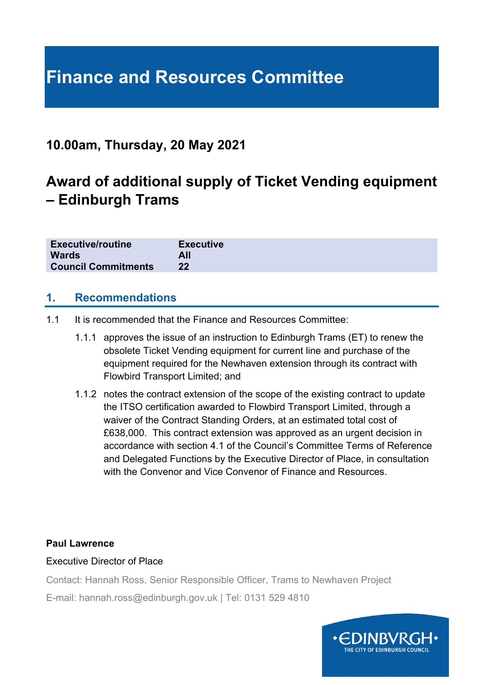# **Finance and Resources Committee**

## **10.00am, Thursday, 20 May 2021**

## **Award of additional supply of Ticket Vending equipment – Edinburgh Trams**

| <b>Executive/routine</b>   | <b>Executive</b> |
|----------------------------|------------------|
| <b>Wards</b>               | All              |
| <b>Council Commitments</b> | 22               |

#### **1. Recommendations**

- 1.1 It is recommended that the Finance and Resources Committee:
	- 1.1.1 approves the issue of an instruction to Edinburgh Trams (ET) to renew the obsolete Ticket Vending equipment for current line and purchase of the equipment required for the Newhaven extension through its contract with Flowbird Transport Limited; and
	- 1.1.2 notes the contract extension of the scope of the existing contract to update the ITSO certification awarded to Flowbird Transport Limited, through a waiver of the Contract Standing Orders, at an estimated total cost of £638,000. This contract extension was approved as an urgent decision in accordance with section 4.1 of the Council's Committee Terms of Reference and Delegated Functions by the Executive Director of Place, in consultation with the Convenor and Vice Convenor of Finance and Resources

#### **Paul Lawrence**

#### Executive Director of Place

Contact: Hannah Ross, Senior Responsible Officer, Trams to Newhaven Project

E-mail: hannah.ross@edinburgh.gov.uk | Tel: 0131 529 4810

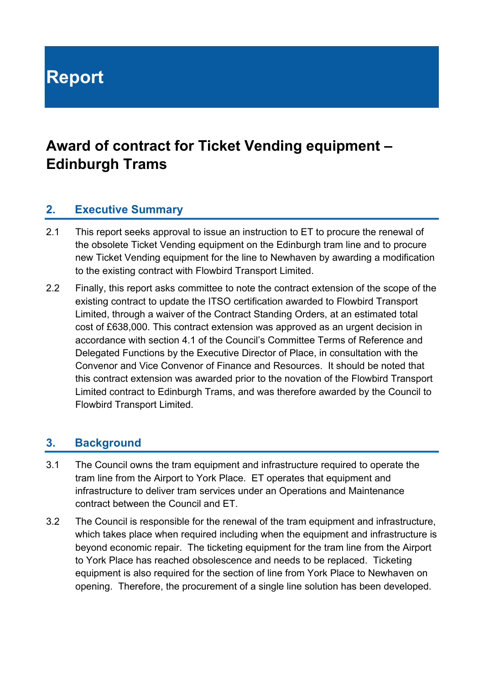# **Report**

## **Award of contract for Ticket Vending equipment – Edinburgh Trams**

### **2. Executive Summary**

- 2.1 This report seeks approval to issue an instruction to ET to procure the renewal of the obsolete Ticket Vending equipment on the Edinburgh tram line and to procure new Ticket Vending equipment for the line to Newhaven by awarding a modification to the existing contract with Flowbird Transport Limited.
- 2.2 Finally, this report asks committee to note the contract extension of the scope of the existing contract to update the ITSO certification awarded to Flowbird Transport Limited, through a waiver of the Contract Standing Orders, at an estimated total cost of £638,000. This contract extension was approved as an urgent decision in accordance with section 4.1 of the Council's Committee Terms of Reference and Delegated Functions by the Executive Director of Place, in consultation with the Convenor and Vice Convenor of Finance and Resources. It should be noted that this contract extension was awarded prior to the novation of the Flowbird Transport Limited contract to Edinburgh Trams, and was therefore awarded by the Council to Flowbird Transport Limited.

## **3. Background**

- 3.1 The Council owns the tram equipment and infrastructure required to operate the tram line from the Airport to York Place. ET operates that equipment and infrastructure to deliver tram services under an Operations and Maintenance contract between the Council and ET.
- 3.2 The Council is responsible for the renewal of the tram equipment and infrastructure, which takes place when required including when the equipment and infrastructure is beyond economic repair. The ticketing equipment for the tram line from the Airport to York Place has reached obsolescence and needs to be replaced. Ticketing equipment is also required for the section of line from York Place to Newhaven on opening. Therefore, the procurement of a single line solution has been developed.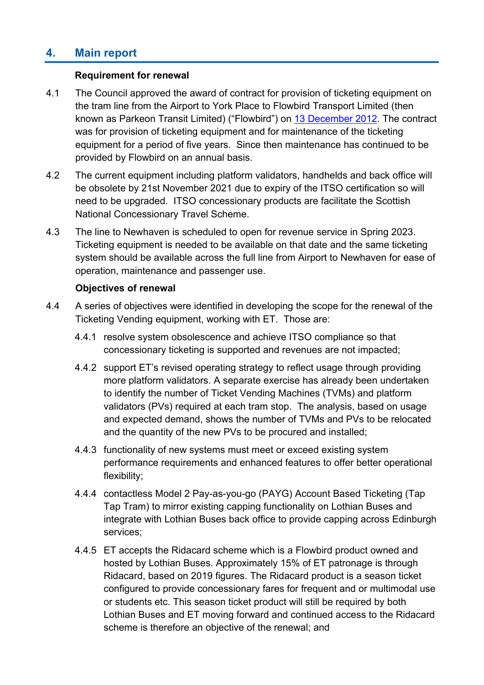## **4. Main report**

#### **Requirement for renewal**

- 4.1 The Council approved the award of contract for provision of ticketing equipment on the tram line from the Airport to York Place to Flowbird Transport Limited (then known as Parkeon Transit Limited) ("Flowbird") on [13 December 2012.](https://democracy.edinburgh.gov.uk/Data/City%20of%20Edinburgh%20Council/20121213/Agenda/item_no_86_-_edinburgh_tram_-_award_of_ticket_vending_contract.pdf#search=%22parkeon%22) The contract was for provision of ticketing equipment and for maintenance of the ticketing equipment for a period of five years. Since then maintenance has continued to be provided by Flowbird on an annual basis.
- 4.2 The current equipment including platform validators, handhelds and back office will be obsolete by 21st November 2021 due to expiry of the ITSO certification so will need to be upgraded. ITSO concessionary products are facilitate the Scottish National Concessionary Travel Scheme.
- 4.3 The line to Newhaven is scheduled to open for revenue service in Spring 2023. Ticketing equipment is needed to be available on that date and the same ticketing system should be available across the full line from Airport to Newhaven for ease of operation, maintenance and passenger use.

#### **Objectives of renewal**

- 4.4 A series of objectives were identified in developing the scope for the renewal of the Ticketing Vending equipment, working with ET. Those are:
	- 4.4.1 resolve system obsolescence and achieve ITSO compliance so that concessionary ticketing is supported and revenues are not impacted;
	- 4.4.2 support ET's revised operating strategy to reflect usage through providing more platform validators. A separate exercise has already been undertaken to identify the number of Ticket Vending Machines (TVMs) and platform validators (PVs) required at each tram stop. The analysis, based on usage and expected demand, shows the number of TVMs and PVs to be relocated and the quantity of the new PVs to be procured and installed;
	- 4.4.3 functionality of new systems must meet or exceed existing system performance requirements and enhanced features to offer better operational flexibility;
	- 4.4.4 contactless Model 2 Pay-as-you-go (PAYG) Account Based Ticketing (Tap Tap Tram) to mirror existing capping functionality on Lothian Buses and integrate with Lothian Buses back office to provide capping across Edinburgh services;
	- 4.4.5 ET accepts the Ridacard scheme which is a Flowbird product owned and hosted by Lothian Buses. Approximately 15% of ET patronage is through Ridacard, based on 2019 figures. The Ridacard product is a season ticket configured to provide concessionary fares for frequent and or multimodal use or students etc. This season ticket product will still be required by both Lothian Buses and ET moving forward and continued access to the Ridacard scheme is therefore an objective of the renewal; and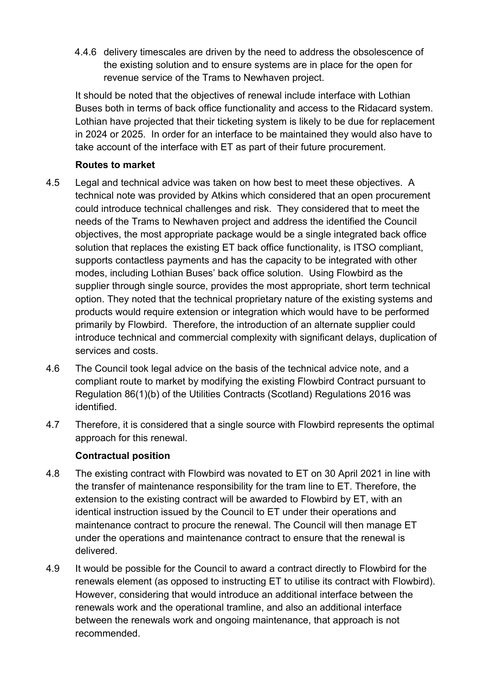4.4.6 delivery timescales are driven by the need to address the obsolescence of the existing solution and to ensure systems are in place for the open for revenue service of the Trams to Newhaven project.

It should be noted that the objectives of renewal include interface with Lothian Buses both in terms of back office functionality and access to the Ridacard system. Lothian have projected that their ticketing system is likely to be due for replacement in 2024 or 2025. In order for an interface to be maintained they would also have to take account of the interface with ET as part of their future procurement.

#### **Routes to market**

- 4.5 Legal and technical advice was taken on how best to meet these objectives. A technical note was provided by Atkins which considered that an open procurement could introduce technical challenges and risk. They considered that to meet the needs of the Trams to Newhaven project and address the identified the Council objectives, the most appropriate package would be a single integrated back office solution that replaces the existing ET back office functionality, is ITSO compliant, supports contactless payments and has the capacity to be integrated with other modes, including Lothian Buses' back office solution. Using Flowbird as the supplier through single source, provides the most appropriate, short term technical option. They noted that the technical proprietary nature of the existing systems and products would require extension or integration which would have to be performed primarily by Flowbird. Therefore, the introduction of an alternate supplier could introduce technical and commercial complexity with significant delays, duplication of services and costs.
- 4.6 The Council took legal advice on the basis of the technical advice note, and a compliant route to market by modifying the existing Flowbird Contract pursuant to Regulation 86(1)(b) of the Utilities Contracts (Scotland) Regulations 2016 was identified.
- 4.7 Therefore, it is considered that a single source with Flowbird represents the optimal approach for this renewal.

#### **Contractual position**

- 4.8 The existing contract with Flowbird was novated to ET on 30 April 2021 in line with the transfer of maintenance responsibility for the tram line to ET. Therefore, the extension to the existing contract will be awarded to Flowbird by ET, with an identical instruction issued by the Council to ET under their operations and maintenance contract to procure the renewal. The Council will then manage ET under the operations and maintenance contract to ensure that the renewal is delivered.
- 4.9 It would be possible for the Council to award a contract directly to Flowbird for the renewals element (as opposed to instructing ET to utilise its contract with Flowbird). However, considering that would introduce an additional interface between the renewals work and the operational tramline, and also an additional interface between the renewals work and ongoing maintenance, that approach is not recommended.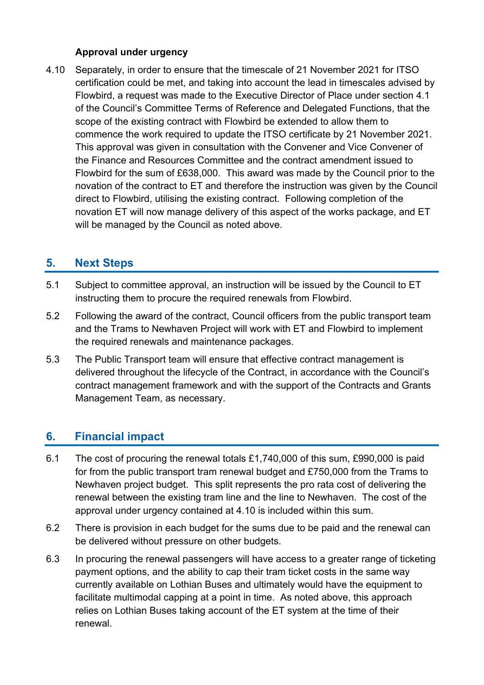#### **Approval under urgency**

4.10 Separately, in order to ensure that the timescale of 21 November 2021 for ITSO certification could be met, and taking into account the lead in timescales advised by Flowbird, a request was made to the Executive Director of Place under section 4.1 of the Council's Committee Terms of Reference and Delegated Functions, that the scope of the existing contract with Flowbird be extended to allow them to commence the work required to update the ITSO certificate by 21 November 2021. This approval was given in consultation with the Convener and Vice Convener of the Finance and Resources Committee and the contract amendment issued to Flowbird for the sum of £638,000. This award was made by the Council prior to the novation of the contract to ET and therefore the instruction was given by the Council direct to Flowbird, utilising the existing contract. Following completion of the novation ET will now manage delivery of this aspect of the works package, and ET will be managed by the Council as noted above.

### **5. Next Steps**

- 5.1 Subject to committee approval, an instruction will be issued by the Council to ET instructing them to procure the required renewals from Flowbird.
- 5.2 Following the award of the contract, Council officers from the public transport team and the Trams to Newhaven Project will work with ET and Flowbird to implement the required renewals and maintenance packages.
- 5.3 The Public Transport team will ensure that effective contract management is delivered throughout the lifecycle of the Contract, in accordance with the Council's contract management framework and with the support of the Contracts and Grants Management Team, as necessary.

## **6. Financial impact**

- 6.1 The cost of procuring the renewal totals £1,740,000 of this sum, £990,000 is paid for from the public transport tram renewal budget and £750,000 from the Trams to Newhaven project budget. This split represents the pro rata cost of delivering the renewal between the existing tram line and the line to Newhaven. The cost of the approval under urgency contained at 4.10 is included within this sum.
- 6.2 There is provision in each budget for the sums due to be paid and the renewal can be delivered without pressure on other budgets.
- 6.3 In procuring the renewal passengers will have access to a greater range of ticketing payment options, and the ability to cap their tram ticket costs in the same way currently available on Lothian Buses and ultimately would have the equipment to facilitate multimodal capping at a point in time. As noted above, this approach relies on Lothian Buses taking account of the ET system at the time of their renewal.